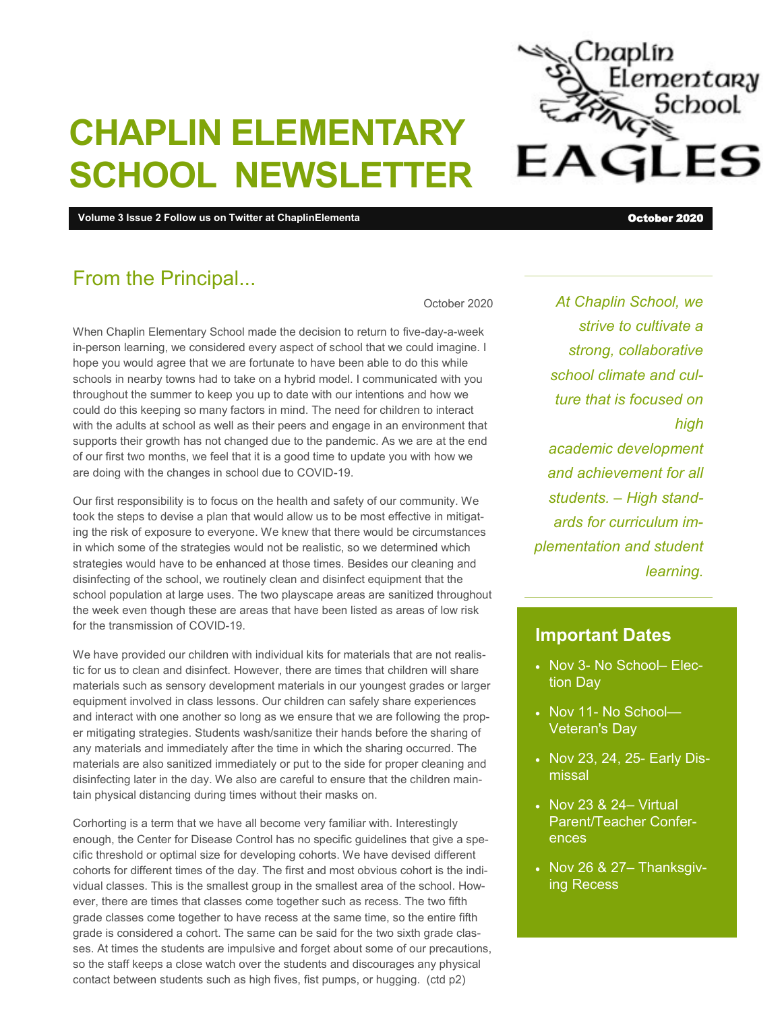# **CHAPLIN ELEMENTARY SCHOOL NEWSLETTER**

**Volume 3 Issue 2 Follow us on Twitter at ChaplinElementa** October 2020

### From the Principal...

October 2020

When Chaplin Elementary School made the decision to return to five-day-a-week in-person learning, we considered every aspect of school that we could imagine. I hope you would agree that we are fortunate to have been able to do this while schools in nearby towns had to take on a hybrid model. I communicated with you throughout the summer to keep you up to date with our intentions and how we could do this keeping so many factors in mind. The need for children to interact with the adults at school as well as their peers and engage in an environment that supports their growth has not changed due to the pandemic. As we are at the end of our first two months, we feel that it is a good time to update you with how we are doing with the changes in school due to COVID-19.

Our first responsibility is to focus on the health and safety of our community. We took the steps to devise a plan that would allow us to be most effective in mitigating the risk of exposure to everyone. We knew that there would be circumstances in which some of the strategies would not be realistic, so we determined which strategies would have to be enhanced at those times. Besides our cleaning and disinfecting of the school, we routinely clean and disinfect equipment that the school population at large uses. The two playscape areas are sanitized throughout the week even though these are areas that have been listed as areas of low risk for the transmission of COVID-19.

We have provided our children with individual kits for materials that are not realistic for us to clean and disinfect. However, there are times that children will share materials such as sensory development materials in our youngest grades or larger equipment involved in class lessons. Our children can safely share experiences and interact with one another so long as we ensure that we are following the proper mitigating strategies. Students wash/sanitize their hands before the sharing of any materials and immediately after the time in which the sharing occurred. The materials are also sanitized immediately or put to the side for proper cleaning and disinfecting later in the day. We also are careful to ensure that the children maintain physical distancing during times without their masks on.

Corhorting is a term that we have all become very familiar with. Interestingly enough, the Center for Disease Control has no specific guidelines that give a specific threshold or optimal size for developing cohorts. We have devised different cohorts for different times of the day. The first and most obvious cohort is the individual classes. This is the smallest group in the smallest area of the school. However, there are times that classes come together such as recess. The two fifth grade classes come together to have recess at the same time, so the entire fifth grade is considered a cohort. The same can be said for the two sixth grade classes. At times the students are impulsive and forget about some of our precautions, so the staff keeps a close watch over the students and discourages any physical contact between students such as high fives, fist pumps, or hugging. (ctd p2)

*At Chaplin School, we strive to cultivate a strong, collaborative school climate and culture that is focused on high academic development and achievement for all students. – High standards for curriculum implementation and student learning.*

#### **Important Dates**

- Nov 3- No School- Election Day
- Nov 11- No School-Veteran's Day
- Nov 23, 24, 25- Early Dismissal
- Nov 23 & 24- Virtual Parent/Teacher Conferences
- $\bullet$  Nov 26 & 27- Thanksgiving Recess

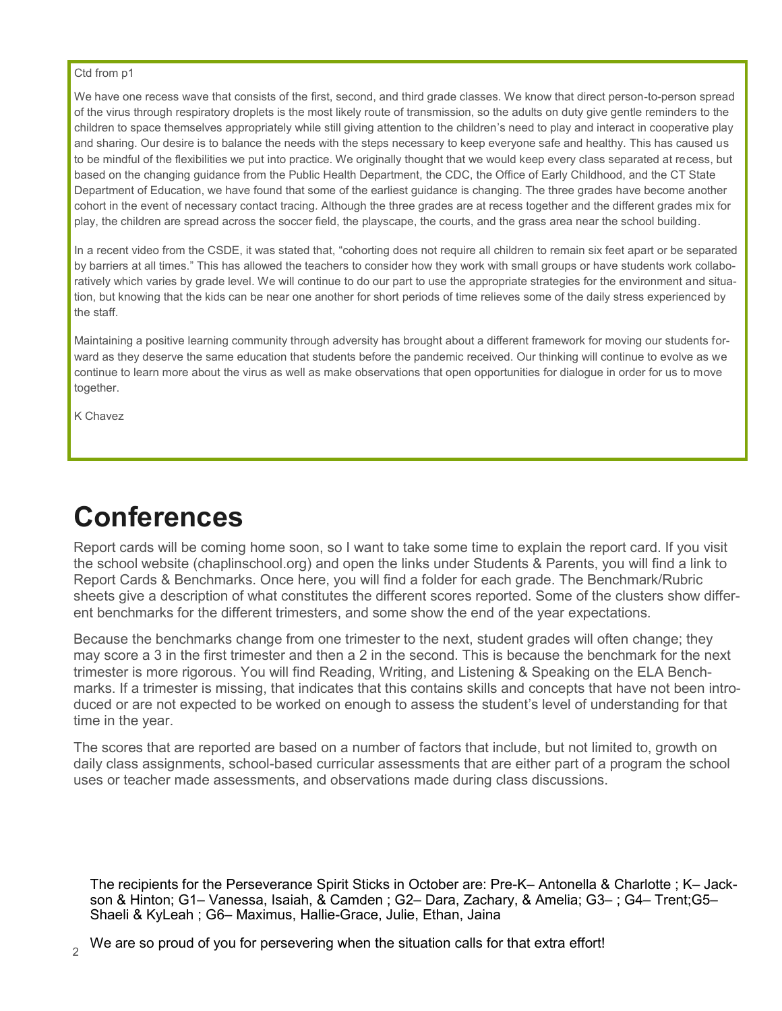#### Ctd from p1

We have one recess wave that consists of the first, second, and third grade classes. We know that direct person-to-person spread of the virus through respiratory droplets is the most likely route of transmission, so the adults on duty give gentle reminders to the children to space themselves appropriately while still giving attention to the children's need to play and interact in cooperative play and sharing. Our desire is to balance the needs with the steps necessary to keep everyone safe and healthy. This has caused us to be mindful of the flexibilities we put into practice. We originally thought that we would keep every class separated at recess, but based on the changing guidance from the Public Health Department, the CDC, the Office of Early Childhood, and the CT State Department of Education, we have found that some of the earliest guidance is changing. The three grades have become another cohort in the event of necessary contact tracing. Although the three grades are at recess together and the different grades mix for play, the children are spread across the soccer field, the playscape, the courts, and the grass area near the school building.

In a recent video from the CSDE, it was stated that, "cohorting does not require all children to remain six feet apart or be separated by barriers at all times." This has allowed the teachers to consider how they work with small groups or have students work collaboratively which varies by grade level. We will continue to do our part to use the appropriate strategies for the environment and situation, but knowing that the kids can be near one another for short periods of time relieves some of the daily stress experienced by the staff.

Maintaining a positive learning community through adversity has brought about a different framework for moving our students forward as they deserve the same education that students before the pandemic received. Our thinking will continue to evolve as we continue to learn more about the virus as well as make observations that open opportunities for dialogue in order for us to move together.

K Chavez

## **Conferences**

Report cards will be coming home soon, so I want to take some time to explain the report card. If you visit the school website (chaplinschool.org) and open the links under Students & Parents, you will find a link to Report Cards & Benchmarks. Once here, you will find a folder for each grade. The Benchmark/Rubric sheets give a description of what constitutes the different scores reported. Some of the clusters show different benchmarks for the different trimesters, and some show the end of the year expectations.

Because the benchmarks change from one trimester to the next, student grades will often change; they may score a 3 in the first trimester and then a 2 in the second. This is because the benchmark for the next trimester is more rigorous. You will find Reading, Writing, and Listening & Speaking on the ELA Benchmarks. If a trimester is missing, that indicates that this contains skills and concepts that have not been introduced or are not expected to be worked on enough to assess the student's level of understanding for that time in the year.

The scores that are reported are based on a number of factors that include, but not limited to, growth on daily class assignments, school-based curricular assessments that are either part of a program the school uses or teacher made assessments, and observations made during class discussions.

The recipients for the Perseverance Spirit Sticks in October are: Pre-K– Antonella & Charlotte ; K– Jackson & Hinton; G1– Vanessa, Isaiah, & Camden ; G2– Dara, Zachary, & Amelia; G3– ; G4– Trent;G5– Shaeli & KyLeah ; G6– Maximus, Hallie-Grace, Julie, Ethan, Jaina

We are so proud of you for persevering when the situation calls for that extra effort!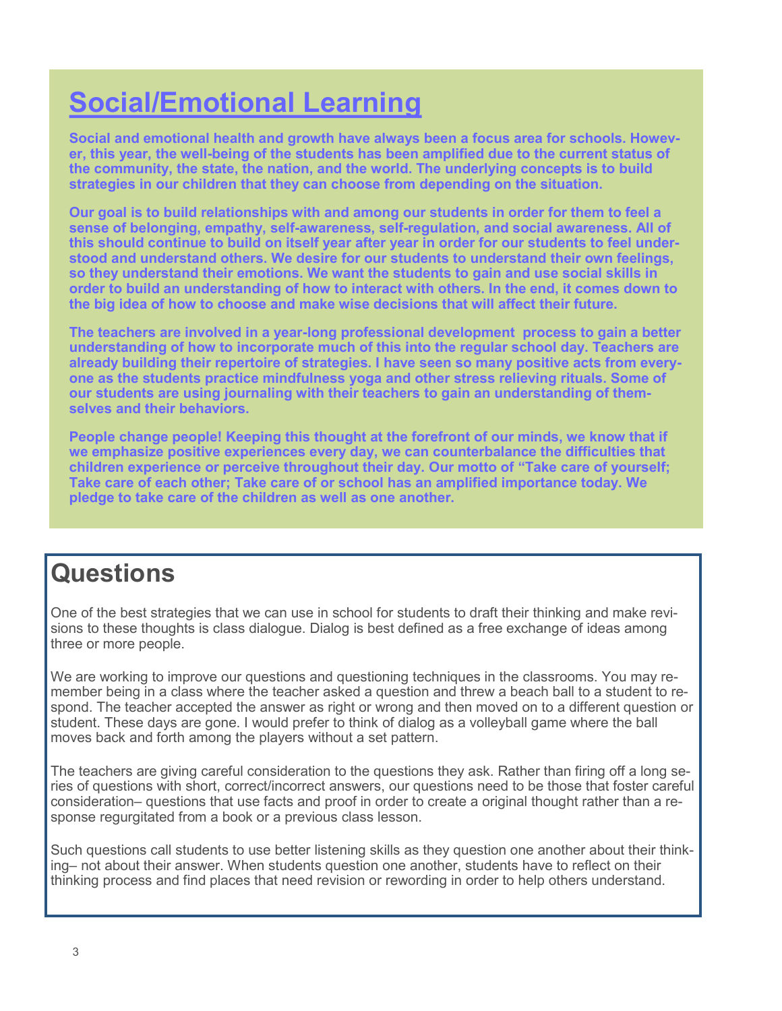## **Social/Emotional Learning**

**Social and emotional health and growth have always been a focus area for schools. However, this year, the well-being of the students has been amplified due to the current status of the community, the state, the nation, and the world. The underlying concepts is to build strategies in our children that they can choose from depending on the situation.**

**Our goal is to build relationships with and among our students in order for them to feel a sense of belonging, empathy, self-awareness, self-regulation, and social awareness. All of this should continue to build on itself year after year in order for our students to feel understood and understand others. We desire for our students to understand their own feelings, so they understand their emotions. We want the students to gain and use social skills in order to build an understanding of how to interact with others. In the end, it comes down to the big idea of how to choose and make wise decisions that will affect their future.**

**The teachers are involved in a year-long professional development process to gain a better understanding of how to incorporate much of this into the regular school day. Teachers are already building their repertoire of strategies. I have seen so many positive acts from everyone as the students practice mindfulness yoga and other stress relieving rituals. Some of our students are using journaling with their teachers to gain an understanding of themselves and their behaviors.** 

**People change people! Keeping this thought at the forefront of our minds, we know that if we emphasize positive experiences every day, we can counterbalance the difficulties that children experience or perceive throughout their day. Our motto of "Take care of yourself; Take care of each other; Take care of or school has an amplified importance today. We pledge to take care of the children as well as one another.**

## **Questions**

One of the best strategies that we can use in school for students to draft their thinking and make revisions to these thoughts is class dialogue. Dialog is best defined as a free exchange of ideas among three or more people.

We are working to improve our questions and questioning techniques in the classrooms. You may remember being in a class where the teacher asked a question and threw a beach ball to a student to respond. The teacher accepted the answer as right or wrong and then moved on to a different question or student. These days are gone. I would prefer to think of dialog as a volleyball game where the ball moves back and forth among the players without a set pattern.

The teachers are giving careful consideration to the questions they ask. Rather than firing off a long series of questions with short, correct/incorrect answers, our questions need to be those that foster careful consideration– questions that use facts and proof in order to create a original thought rather than a response regurgitated from a book or a previous class lesson.

Such questions call students to use better listening skills as they question one another about their thinking– not about their answer. When students question one another, students have to reflect on their thinking process and find places that need revision or rewording in order to help others understand.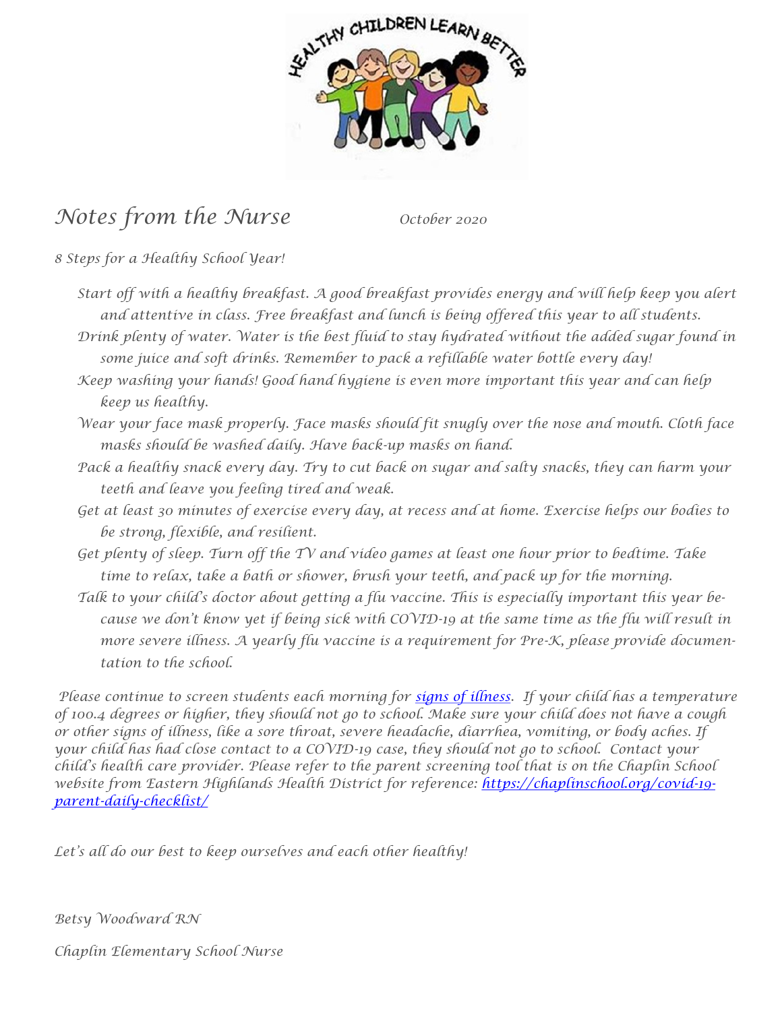

## *Notes from the Nurse October 2020*

*8 Steps for a Healthy School Year!*

- *Start off with a healthy breakfast. A good breakfast provides energy and will help keep you alert and attentive in class. Free breakfast and lunch is being offered this year to all students.*
- *Drink plenty of water. Water is the best fluid to stay hydrated without the added sugar found in some juice and soft drinks. Remember to pack a refillable water bottle every day!*
- *Keep washing your hands! Good hand hygiene is even more important this year and can help keep us healthy.*
- *Wear your face mask properly. Face masks should fit snugly over the nose and mouth. Cloth face masks should be washed daily. Have back-up masks on hand.*
- *Pack a healthy snack every day. Try to cut back on sugar and salty snacks, they can harm your teeth and leave you feeling tired and weak.*
- *Get at least 30 minutes of exercise every day, at recess and at home. Exercise helps our bodies to be strong, flexible, and resilient.*
- *Get plenty of sleep. Turn off the TV and video games at least one hour prior to bedtime. Take time to relax, take a bath or shower, brush your teeth, and pack up for the morning.*
- *Talk to your child's doctor about getting a flu vaccine. This is especially important this year because we don't know yet if being sick with COVID-19 at the same time as the flu will result in more severe illness. A yearly flu vaccine is a requirement for Pre-K, please provide documentation to the school.*

*Please continue to screen students each morning for [signs of illness.](https://www.cdc.gov/coronavirus/2019-ncov/if-you-are-sick/steps-when-sick.html) If your child has a temperature of 100.4 degrees or higher, they should not go to school. Make sure your child does not have a cough or other signs of illness, like a sore throat, severe headache, diarrhea, vomiting, or body aches. If your child has had close contact to a COVID-19 case, they should not go to school. Contact your child's health care provider. Please refer to the parent screening tool that is on the Chaplin School website from Eastern Highlands Health District for reference: [https://chaplinschool.org/covid-19](https://chaplinschool.org/covid-19-parent-daily-checklist/) [parent-daily-checklist/](https://chaplinschool.org/covid-19-parent-daily-checklist/)* 

*Let's all do our best to keep ourselves and each other healthy!*

*Betsy Woodward RN* 

*Chaplin Elementary School Nurse*